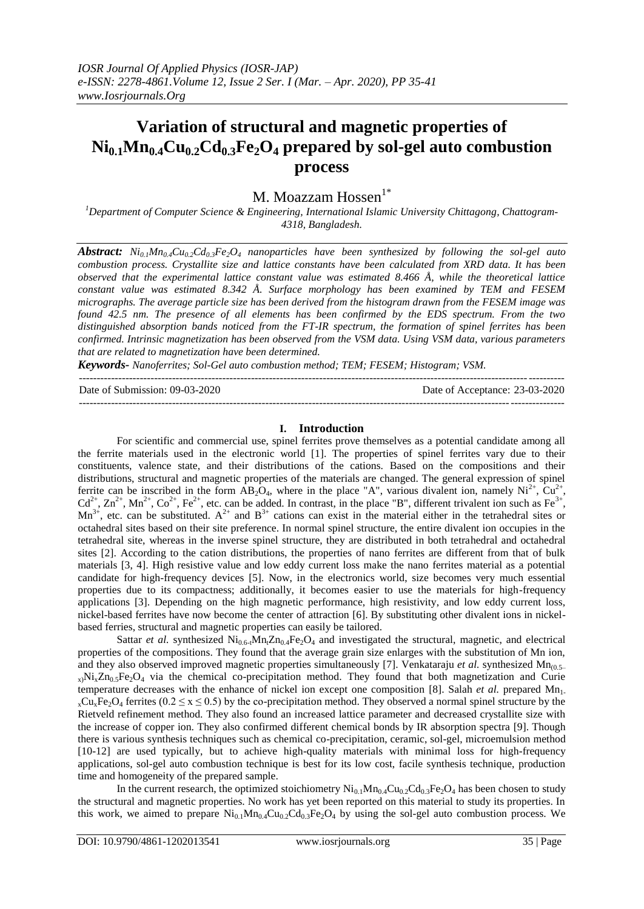## **Variation of structural and magnetic properties of**   $Ni_{0.1}Mn_{0.4}Cu_{0.2}Cd_{0.3}Fe_2O_4$  prepared by sol-gel auto combustion **process**

# M. Moazzam Hossen<sup>1\*</sup>

*<sup>1</sup>Department of Computer Science & Engineering, International Islamic University Chittagong, Chattogram-4318, Bangladesh.*

*Abstract: Ni0.1Mn0.4Cu0.2Cd0.3Fe2O<sup>4</sup> nanoparticles have been synthesized by following the sol-gel auto combustion process. Crystallite size and lattice constants have been calculated from XRD data. It has been observed that the experimental lattice constant value was estimated 8.466 Å, while the theoretical lattice constant value was estimated 8.342 Å. Surface morphology has been examined by TEM and FESEM micrographs. The average particle size has been derived from the histogram drawn from the FESEM image was found 42.5 nm. The presence of all elements has been confirmed by the EDS spectrum. From the two distinguished absorption bands noticed from the FT-IR spectrum, the formation of spinel ferrites has been confirmed. Intrinsic magnetization has been observed from the VSM data. Using VSM data, various parameters that are related to magnetization have been determined.*

*Keywords- Nanoferrites; Sol-Gel auto combustion method; TEM; FESEM; Histogram; VSM.*

| Date of Submission: 09-03-2020 | Date of Acceptance: 23-03-2020 |
|--------------------------------|--------------------------------|
|                                |                                |

#### **I. Introduction**

For scientific and commercial use, spinel ferrites prove themselves as a potential candidate among all the ferrite materials used in the electronic world [1]. The properties of spinel ferrites vary due to their constituents, valence state, and their distributions of the cations. Based on the compositions and their distributions, structural and magnetic properties of the materials are changed. The general expression of spinel ferrite can be inscribed in the form  $\overrightarrow{AB_2O_4}$ , where in the place "A", various divalent ion, namely  $\overrightarrow{Ni}^2$ ,  $\overrightarrow{Cu}^2$ ,  $Cd^{2+}$ ,  $Zn^{2+}$ ,  $Mn^{2+}$ ,  $Co^{2+}$ ,  $Fe^{2+}$ , etc. can be added. In contrast, in the place "B", different trivalent ion such as  $Fe^{3+}$ ,  $Mn<sup>3+</sup>$ , etc. can be substituted.  $A<sup>2+</sup>$  and  $B<sup>3+</sup>$  cations can exist in the material either in the tetrahedral sites or octahedral sites based on their site preference. In normal spinel structure, the entire divalent ion occupies in the tetrahedral site, whereas in the inverse spinel structure, they are distributed in both tetrahedral and octahedral sites [2]. According to the cation distributions, the properties of nano ferrites are different from that of bulk materials [3, 4]. High resistive value and low eddy current loss make the nano ferrites material as a potential candidate for high-frequency devices [5]. Now, in the electronics world, size becomes very much essential properties due to its compactness; additionally, it becomes easier to use the materials for high-frequency applications [3]. Depending on the high magnetic performance, high resistivity, and low eddy current loss, nickel-based ferrites have now become the center of attraction [6]. By substituting other divalent ions in nickelbased ferries, structural and magnetic properties can easily be tailored.

Sattar *et al.* synthesized  $Ni_{0.6}$ - $Mn_{t}Zn_{0.4}Fe_{2}O_{4}$  and investigated the structural, magnetic, and electrical properties of the compositions. They found that the average grain size enlarges with the substitution of Mn ion, and they also observed improved magnetic properties simultaneously [7]. Venkataraju *et al.* synthesized Mn<sub>(0.5–</sub>  $x_1$ Ni $x_2$ Zn<sub>0.5</sub>Fe<sub>2</sub>O<sub>4</sub> via the chemical co-precipitation method. They found that both magnetization and Curie temperature decreases with the enhance of nickel ion except one composition [8]. Salah *et al.* prepared  $Mn_1$ .  $_{x}Cu_{x}Fe_{2}O_{4}$  ferrites (0.2  $\le x \le 0.5$ ) by the co-precipitation method. They observed a normal spinel structure by the Rietveld refinement method. They also found an increased lattice parameter and decreased crystallite size with the increase of copper ion. They also confirmed different chemical bonds by IR absorption spectra [9]. Though there is various synthesis techniques such as chemical co-precipitation, ceramic, sol-gel, microemulsion method [10-12] are used typically, but to achieve high-quality materials with minimal loss for high-frequency applications, sol-gel auto combustion technique is best for its low cost, facile synthesis technique, production time and homogeneity of the prepared sample.

In the current research, the optimized stoichiometry  $Ni_{0.1}Mn_{0.4}Cu_{0.2}Cd_{0.3}Fe_2O_4$  has been chosen to study the structural and magnetic properties. No work has yet been reported on this material to study its properties. In this work, we aimed to prepare  $Ni_{0.1}Mn_{0.4}Cu_{0.2}Cd_{0.3}Fe<sub>2</sub>O<sub>4</sub>$  by using the sol-gel auto combustion process. We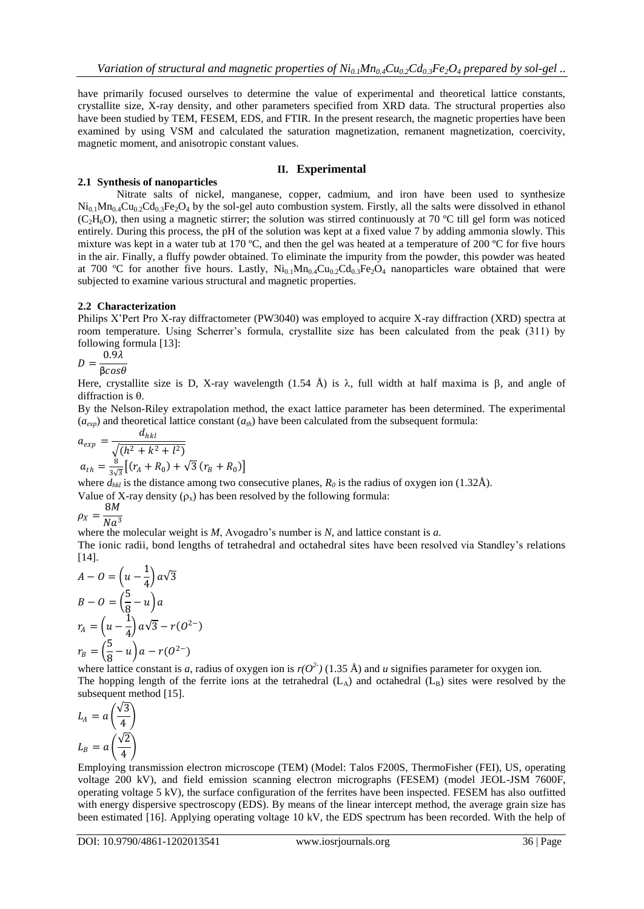have primarily focused ourselves to determine the value of experimental and theoretical lattice constants, crystallite size, X-ray density, and other parameters specified from XRD data. The structural properties also have been studied by TEM, FESEM, EDS, and FTIR. In the present research, the magnetic properties have been examined by using VSM and calculated the saturation magnetization, remanent magnetization, coercivity, magnetic moment, and anisotropic constant values.

#### **II. Experimental**

#### **2.1 Synthesis of nanoparticles**

Nitrate salts of nickel, manganese, copper, cadmium, and iron have been used to synthesize  $Ni_{0.1}Mn_{0.4}Cu_{0.2}Cd_{0.3}Fe_2O_4$  by the sol-gel auto combustion system. Firstly, all the salts were dissolved in ethanol (C<sub>2</sub>H<sub>6</sub>O), then using a magnetic stirrer; the solution was stirred continuously at 70 °C till gel form was noticed entirely. During this process, the pH of the solution was kept at a fixed value 7 by adding ammonia slowly. This mixture was kept in a water tub at 170 ºC, and then the gel was heated at a temperature of 200 ºC for five hours in the air. Finally, a fluffy powder obtained. To eliminate the impurity from the powder, this powder was heated at 700 °C for another five hours. Lastly,  $Ni_{0.1}Mn_{0.4}Cu_{0.2}Cd_{0.3}Fe_2O_4$  nanoparticles ware obtained that were subjected to examine various structural and magnetic properties.

#### **2.2 Characterization**

Philips X'Pert Pro X-ray diffractometer (PW3040) was employed to acquire X-ray diffraction (XRD) spectra at room temperature. Using Scherrer's formula, crystallite size has been calculated from the peak (311) by following formula [13]:

$$
D = \frac{0.9\lambda}{\beta cos \theta}
$$

Here, crystallite size is D, X-ray wavelength (1.54 Å) is  $\lambda$ , full width at half maxima is  $\beta$ , and angle of diffraction is  $\theta$ .

By the Nelson-Riley extrapolation method, the exact lattice parameter has been determined. The experimental  $(a_{\text{exp}})$  and theoretical lattice constant  $(a_{\text{th}})$  have been calculated from the subsequent formula:

$$
a_{exp} = \frac{d_{hkl}}{\sqrt{(h^2 + k^2 + l^2)}}
$$
  
\n
$$
a_{th} = \frac{8}{3\sqrt{3}} \left[ (r_A + R_0) + \sqrt{3} (r_B + R_0) \right]
$$

where  $d_{hkl}$  is the distance among two consecutive planes,  $R_0$  is the radius of oxygen ion (1.32Å).

Value of X-ray density  $(\rho_x)$  has been resolved by the following formula:

$$
\rho_X = \frac{8M}{Na^3}
$$

where the molecular weight is *M*, Avogadro's number is *N*, and lattice constant is *a*.

The ionic radii, bond lengths of tetrahedral and octahedral sites have been resolved via Standley's relations [14].

$$
A - O = \left(u - \frac{1}{4}\right)a\sqrt{3}
$$
  
\n
$$
B - O = \left(\frac{5}{8} - u\right)a
$$
  
\n
$$
r_A = \left(u - \frac{1}{4}\right)a\sqrt{3} - r(O^{2-})
$$
  
\n
$$
r_B = \left(\frac{5}{8} - u\right)a - r(O^{2-})
$$

 $\binom{8}{8}$  (8  $\binom{8}{7}$   $\binom{8}{9}$   $\binom{8}{1}$   $\binom{8}{1}$  and *u* signifies parameter for oxygen ion. The hopping length of the ferrite ions at the tetrahedral  $(L_A)$  and octahedral  $(L_B)$  sites were resolved by the subsequent method [15].

$$
L_A = a \left(\frac{\sqrt{3}}{4}\right)
$$
  

$$
L_B = a \left(\frac{\sqrt{2}}{4}\right)
$$
  
Emalous tran

Employing transmission electron microscope (TEM) (Model: Talos F200S, ThermoFisher (FEI), US, operating voltage 200 kV), and field emission scanning electron micrographs (FESEM) (model JEOL-JSM 7600F, operating voltage 5 kV), the surface configuration of the ferrites have been inspected. FESEM has also outfitted with energy dispersive spectroscopy (EDS). By means of the linear intercept method, the average grain size has been estimated [16]. Applying operating voltage 10 kV, the EDS spectrum has been recorded. With the help of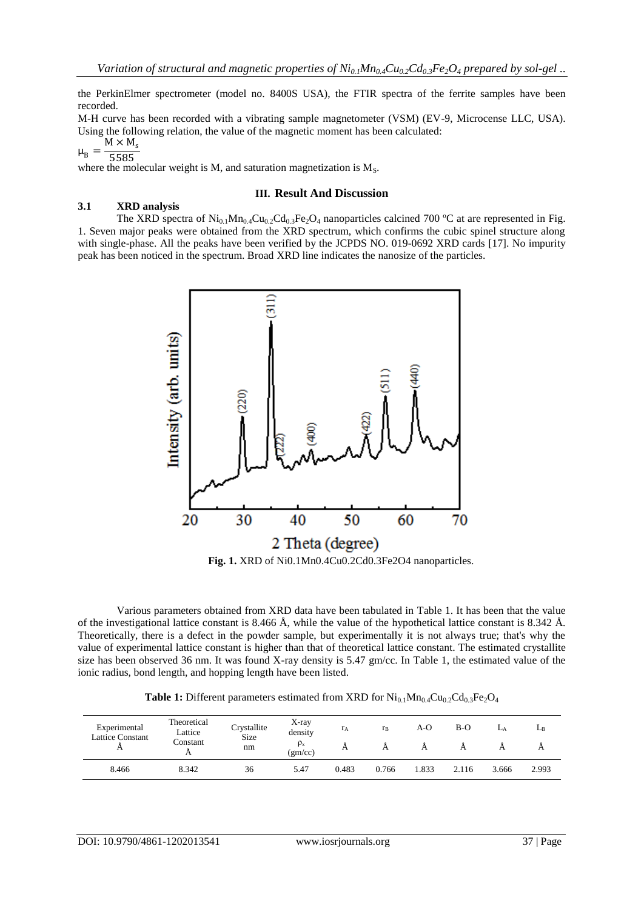the PerkinElmer spectrometer (model no. 8400S USA), the FTIR spectra of the ferrite samples have been recorded.

M-H curve has been recorded with a vibrating sample magnetometer (VSM) (EV-9, Microcense LLC, USA). Using the following relation, the value of the magnetic moment has been calculated:

$$
\begin{array}{c}\n\cdot & \phantom{0} \\
\end{array}
$$

 $\mu_B$ 5585

**3.1 XRD analysis**

where the molecular weight is  $M$ , and saturation magnetization is  $M_s$ .

## **III. Result And Discussion**

The XRD spectra of  $Ni_{0.1}Mn_{0.4}Cu_{0.2}Cd_{0.3}Fe_2O_4$  nanoparticles calcined 700 °C at are represented in Fig. 1. Seven major peaks were obtained from the XRD spectrum, which confirms the cubic spinel structure along with single-phase. All the peaks have been verified by the JCPDS NO. 019-0692 XRD cards [17]. No impurity peak has been noticed in the spectrum. Broad XRD line indicates the nanosize of the particles.



**Fig. 1.** XRD of Ni0.1Mn0.4Cu0.2Cd0.3Fe2O4 nanoparticles.

Various parameters obtained from XRD data have been tabulated in Table 1. It has been that the value of the investigational lattice constant is 8.466 Å, while the value of the hypothetical lattice constant is 8.342 Å. Theoretically, there is a defect in the powder sample, but experimentally it is not always true; that's why the value of experimental lattice constant is higher than that of theoretical lattice constant. The estimated crystallite size has been observed 36 nm. It was found X-ray density is 5.47 gm/cc. In Table 1, the estimated value of the ionic radius, bond length, and hopping length have been listed.

**Table 1:** Different parameters estimated from XRD for  $Ni_{0.1}Mn_{0.4}Cu_{0.2}Cd_{0.3}Fe<sub>2</sub>O<sub>4</sub>$ 

| Experimental<br>Lattice Constant<br>A | Theoretical<br>Lattice<br>Constant | Crystallite<br><b>Size</b><br>nm | X-ray<br>density<br>$\rho_{\rm x}$<br>(gm/cc) | rд<br>A | $r_{B}$ | A-O   | B-O   |       | $L_B$ |
|---------------------------------------|------------------------------------|----------------------------------|-----------------------------------------------|---------|---------|-------|-------|-------|-------|
| 8.466                                 | 8.342                              | 36                               | 5.47                                          | 0.483   | 0.766   | 1.833 | 2.116 | 3.666 | 2.993 |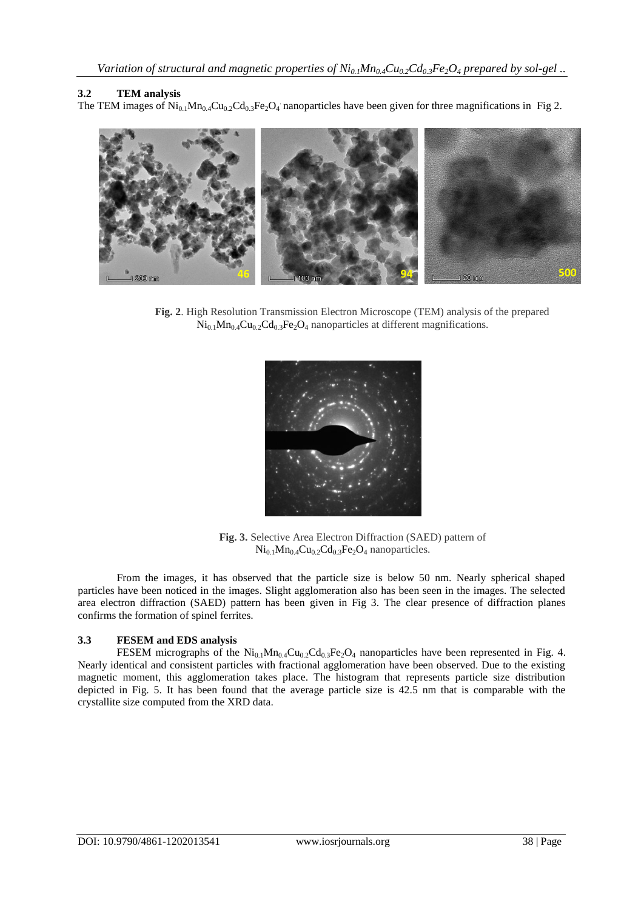#### **3.2 TEM analysis**

The TEM images of  $Ni_{0.1}Mn_{0.4}Cu_{0.2}Cd_{0.3}Fe_2O_4$  nanoparticles have been given for three magnifications in Fig 2.



**Fig. 2**. High Resolution Transmission Electron Microscope (TEM) analysis of the prepared  $Ni<sub>0.1</sub>Mn<sub>0.4</sub>Cu<sub>0.2</sub>Cd<sub>0.3</sub>Fe<sub>2</sub>O<sub>4</sub> nanoparticles at different magnifications.$ 



**Fig. 3.** Selective Area Electron Diffraction (SAED) pattern of  $Ni<sub>0.1</sub>Mn<sub>0.4</sub>Cu<sub>0.2</sub>Cd<sub>0.3</sub>Fe<sub>2</sub>O<sub>4</sub> nanoparticles.$ 

From the images, it has observed that the particle size is below 50 nm. Nearly spherical shaped particles have been noticed in the images. Slight agglomeration also has been seen in the images. The selected area electron diffraction (SAED) pattern has been given in Fig 3. The clear presence of diffraction planes confirms the formation of spinel ferrites.

#### **3.3 FESEM and EDS analysis**

FESEM micrographs of the  $Ni_{0.1}Mn_{0.4}Cu_{0.2}Cd_{0.3}Fe<sub>2</sub>O<sub>4</sub>$  nanoparticles have been represented in Fig. 4. Nearly identical and consistent particles with fractional agglomeration have been observed. Due to the existing magnetic moment, this agglomeration takes place. The histogram that represents particle size distribution depicted in Fig. 5. It has been found that the average particle size is 42.5 nm that is comparable with the crystallite size computed from the XRD data.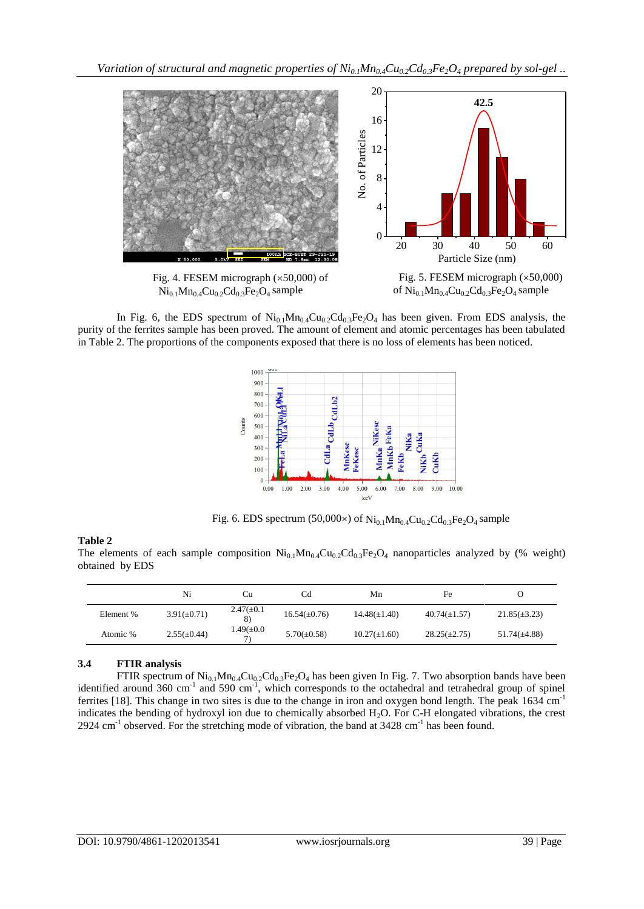

In Fig. 6, the EDS spectrum of  $Ni<sub>0.1</sub>Mn<sub>0.4</sub>Cu<sub>0.2</sub>Cd<sub>0.3</sub>Fe<sub>2</sub>O<sub>4</sub>$  has been given. From EDS analysis, the purity of the ferrites sample has been proved. The amount of element and atomic percentages has been tabulated in Table 2. The proportions of the components exposed that there is no loss of elements has been noticed.



Fig. 6. EDS spectrum (50,000×) of  $Ni_{0.1}Mn_{0.4}Cu_{0.2}Cd_{0.3}Fe_2O_4$  sample

## **Table 2**

The elements of each sample composition  $Ni<sub>0.1</sub>Mn<sub>0.4</sub>Cu<sub>0.2</sub>Cd<sub>0.3</sub>Fe<sub>2</sub>O<sub>4</sub>$  nanoparticles analyzed by (% weight) obtained by EDS

|           | Ni               | Cп                     | Cd                | Mn                | Fe                |                   |
|-----------|------------------|------------------------|-------------------|-------------------|-------------------|-------------------|
| Element % | $3.91(\pm 0.71)$ | $2.47(\pm 0.1)$<br>8)  | $16.54(\pm 0.76)$ | $14.48(\pm 1.40)$ | $40.74(\pm 1.57)$ | $21.85(\pm 3.23)$ |
| Atomic %  | $2.55(\pm 0.44)$ | $1.49 (\pm 0.0)$<br>7) | $5.70(\pm 0.58)$  | $10.27(\pm 1.60)$ | $28.25(\pm 2.75)$ | $51.74(\pm 4.88)$ |

## **3.4 FTIR analysis**

FTIR spectrum of  $Ni_{0.1}Mn_{0.4}Cu_{0.2}Cd_{0.3}Fe_2O_4$  has been given In Fig. 7. Two absorption bands have been identified around 360 cm<sup>-1</sup> and 590 cm<sup>-1</sup>, which corresponds to the octahedral and tetrahedral group of spinel ferrites [18]. This change in two sites is due to the change in iron and oxygen bond length. The peak 1634 cm<sup>-1</sup> indicates the bending of hydroxyl ion due to chemically absorbed H2O. For C-H elongated vibrations, the crest 2924 cm<sup>-1</sup> observed. For the stretching mode of vibration, the band at 3428 cm<sup>-1</sup> has been found.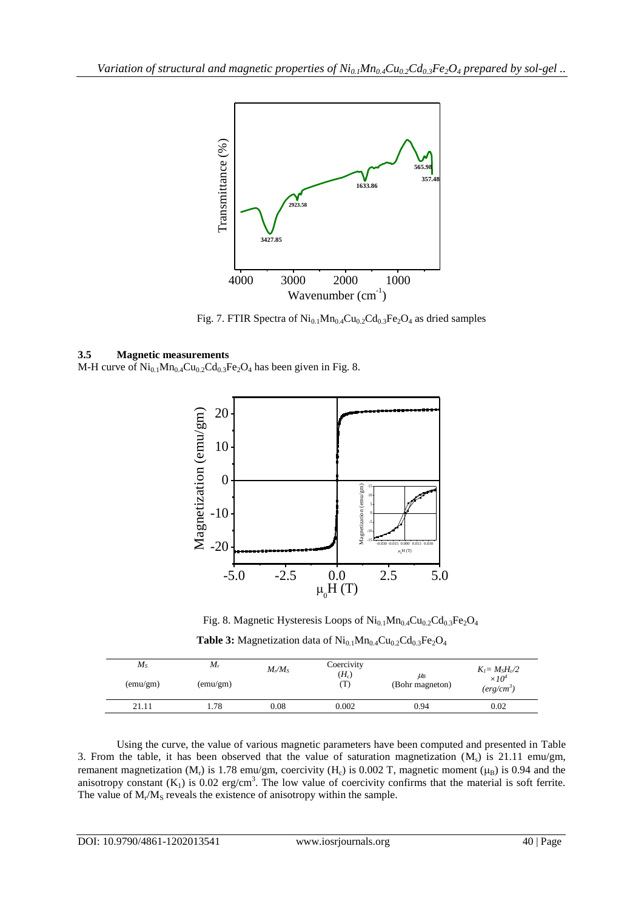

Fig. 7. FTIR Spectra of  $Ni<sub>0.1</sub>Mn<sub>0.4</sub>Cu<sub>0.2</sub>Cd<sub>0.3</sub>Fe<sub>2</sub>O<sub>4</sub>$  as dried samples

#### **3.5 Magnetic measurements**

M-H curve of  $Ni_{0.1}Mn_{0.4}Cu_{0.2}Cd_{0.3}Fe_2O_4$  has been given in Fig. 8.



**Table 3:** Magnetization data of Ni<sub>0.1</sub>Mn<sub>0.4</sub>Cu<sub>0.2</sub>Cd<sub>0.3</sub>Fe<sub>2</sub>O<sub>4</sub> Fig. 8. Magnetic Hysteresis Loops of  $\text{Ni}_{0.1}\text{Mn}_{0.4}\text{Cu}_{0.2}\text{Cd}_{0.3}\text{Fe}_2\text{O}_4$ 

| $M_{S}$<br>(emu/gm) | $M_r$<br>(emu/gm) | $M_r/M_s$ | Coercivity<br>$(H_c)$<br>$\mathbf{I}$ . | $\mu_B$<br>(Bohr magneton) | $K_I = M_S H_c/2$<br>$\times10^4$<br>$(\textit{erg}/\textit{cm}^3)$ |
|---------------------|-------------------|-----------|-----------------------------------------|----------------------------|---------------------------------------------------------------------|
| 21.11               | 78                | 0.08      | 0.002                                   | 0.94                       | 0.02                                                                |

Using the curve, the value of various magnetic parameters have been computed and presented in Table 3. From the table, it has been observed that the value of saturation magnetization  $(M_s)$  is 21.11 emu/gm, remanent magnetization ( $M_r$ ) is 1.78 emu/gm, coercivity ( $H_c$ ) is 0.002 T, magnetic moment ( $\mu_B$ ) is 0.94 and the anisotropy constant  $(K_1)$  is 0.02 erg/cm<sup>3</sup>. The low value of coercivity confirms that the material is soft ferrite. The value of  $M_r/M_s$  reveals the existence of anisotropy within the sample.